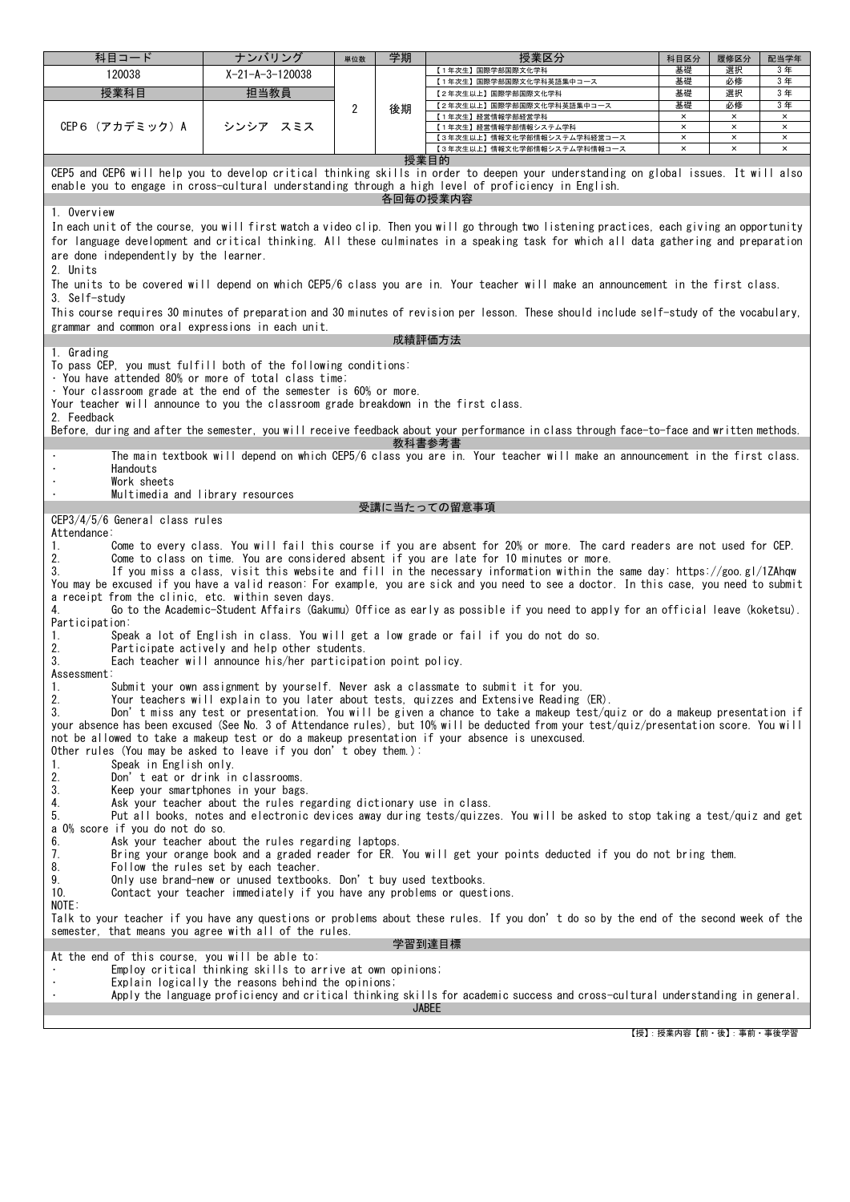| 科目コード                                                                                                                                                                                                                                                                                                                                                                                                                                                                                                                                                                                                                                                                                                                                                                                                                                                                                                                                                                                                                                                                                                                                                                                                                                                                                                                                                                                                                                                                                                                                                                                                                                                                                                                                                                                                                                                                                                                                                                                                                                                                                                                                                                                            | ナンバリング                    | 単位数 | 学期 | 授業区分                                                                                                                                       | 科目区分                             | 履修区分                             | 配当学年                       |  |  |
|--------------------------------------------------------------------------------------------------------------------------------------------------------------------------------------------------------------------------------------------------------------------------------------------------------------------------------------------------------------------------------------------------------------------------------------------------------------------------------------------------------------------------------------------------------------------------------------------------------------------------------------------------------------------------------------------------------------------------------------------------------------------------------------------------------------------------------------------------------------------------------------------------------------------------------------------------------------------------------------------------------------------------------------------------------------------------------------------------------------------------------------------------------------------------------------------------------------------------------------------------------------------------------------------------------------------------------------------------------------------------------------------------------------------------------------------------------------------------------------------------------------------------------------------------------------------------------------------------------------------------------------------------------------------------------------------------------------------------------------------------------------------------------------------------------------------------------------------------------------------------------------------------------------------------------------------------------------------------------------------------------------------------------------------------------------------------------------------------------------------------------------------------------------------------------------------------|---------------------------|-----|----|--------------------------------------------------------------------------------------------------------------------------------------------|----------------------------------|----------------------------------|----------------------------|--|--|
| 120038                                                                                                                                                                                                                                                                                                                                                                                                                                                                                                                                                                                                                                                                                                                                                                                                                                                                                                                                                                                                                                                                                                                                                                                                                                                                                                                                                                                                                                                                                                                                                                                                                                                                                                                                                                                                                                                                                                                                                                                                                                                                                                                                                                                           | $X - 21 - A - 3 - 120038$ |     |    | 【1年次生】国際学部国際文化学科                                                                                                                           | 基礎                               | 選択                               | 3年                         |  |  |
| 授業科目                                                                                                                                                                                                                                                                                                                                                                                                                                                                                                                                                                                                                                                                                                                                                                                                                                                                                                                                                                                                                                                                                                                                                                                                                                                                                                                                                                                                                                                                                                                                                                                                                                                                                                                                                                                                                                                                                                                                                                                                                                                                                                                                                                                             | 担当教員                      |     |    | 【1年次生】国際学部国際文化学科英語集中コース<br>【2年次生以上】国際学部国際文化学科                                                                                              | 基礎<br>基礎                         | 必修<br>選択                         | 3年<br>3年                   |  |  |
|                                                                                                                                                                                                                                                                                                                                                                                                                                                                                                                                                                                                                                                                                                                                                                                                                                                                                                                                                                                                                                                                                                                                                                                                                                                                                                                                                                                                                                                                                                                                                                                                                                                                                                                                                                                                                                                                                                                                                                                                                                                                                                                                                                                                  |                           | 2   | 後期 | 【2年次生以上】国際学部国際文化学科英語集中コース                                                                                                                  | 基礎                               | 必修                               | 3年                         |  |  |
| CEP6(アカデミック)A                                                                                                                                                                                                                                                                                                                                                                                                                                                                                                                                                                                                                                                                                                                                                                                                                                                                                                                                                                                                                                                                                                                                                                                                                                                                                                                                                                                                                                                                                                                                                                                                                                                                                                                                                                                                                                                                                                                                                                                                                                                                                                                                                                                    | シンシア スミス                  |     |    | 【1年次生】経営情報学部経営学科<br>【1年次生】経営情報学部情報システム学科                                                                                                   | $\times$<br>$\pmb{\times}$       | $\times$<br>$\times$             | $\times$<br>$\times$       |  |  |
|                                                                                                                                                                                                                                                                                                                                                                                                                                                                                                                                                                                                                                                                                                                                                                                                                                                                                                                                                                                                                                                                                                                                                                                                                                                                                                                                                                                                                                                                                                                                                                                                                                                                                                                                                                                                                                                                                                                                                                                                                                                                                                                                                                                                  |                           |     |    | 【3年次生以上】情報文化学部情報システム学科経営コース                                                                                                                | $\pmb{\times}$<br>$\pmb{\times}$ | $\pmb{\times}$<br>$\pmb{\times}$ | $\pmb{\times}$<br>$\times$ |  |  |
|                                                                                                                                                                                                                                                                                                                                                                                                                                                                                                                                                                                                                                                                                                                                                                                                                                                                                                                                                                                                                                                                                                                                                                                                                                                                                                                                                                                                                                                                                                                                                                                                                                                                                                                                                                                                                                                                                                                                                                                                                                                                                                                                                                                                  |                           |     |    | 【3年次生以上】情報文化学部情報システム学科情報コース<br>授業目的                                                                                                        |                                  |                                  |                            |  |  |
| CEP5 and CEP6 will help you to develop critical thinking skills in order to deepen your understanding on global issues. It will also<br>enable you to engage in cross-cultural understanding through a high level of proficiency in English.                                                                                                                                                                                                                                                                                                                                                                                                                                                                                                                                                                                                                                                                                                                                                                                                                                                                                                                                                                                                                                                                                                                                                                                                                                                                                                                                                                                                                                                                                                                                                                                                                                                                                                                                                                                                                                                                                                                                                     |                           |     |    |                                                                                                                                            |                                  |                                  |                            |  |  |
|                                                                                                                                                                                                                                                                                                                                                                                                                                                                                                                                                                                                                                                                                                                                                                                                                                                                                                                                                                                                                                                                                                                                                                                                                                                                                                                                                                                                                                                                                                                                                                                                                                                                                                                                                                                                                                                                                                                                                                                                                                                                                                                                                                                                  |                           |     |    | 各回毎の授業内容                                                                                                                                   |                                  |                                  |                            |  |  |
| 1. Overview                                                                                                                                                                                                                                                                                                                                                                                                                                                                                                                                                                                                                                                                                                                                                                                                                                                                                                                                                                                                                                                                                                                                                                                                                                                                                                                                                                                                                                                                                                                                                                                                                                                                                                                                                                                                                                                                                                                                                                                                                                                                                                                                                                                      |                           |     |    |                                                                                                                                            |                                  |                                  |                            |  |  |
| In each unit of the course, you will first watch a video clip. Then you will go through two listening practices, each giving an opportunity<br>for language development and critical thinking. All these culminates in a speaking task for which all data gathering and preparation<br>are done independently by the learner.<br>2. Units                                                                                                                                                                                                                                                                                                                                                                                                                                                                                                                                                                                                                                                                                                                                                                                                                                                                                                                                                                                                                                                                                                                                                                                                                                                                                                                                                                                                                                                                                                                                                                                                                                                                                                                                                                                                                                                        |                           |     |    |                                                                                                                                            |                                  |                                  |                            |  |  |
| 3. Self-studv                                                                                                                                                                                                                                                                                                                                                                                                                                                                                                                                                                                                                                                                                                                                                                                                                                                                                                                                                                                                                                                                                                                                                                                                                                                                                                                                                                                                                                                                                                                                                                                                                                                                                                                                                                                                                                                                                                                                                                                                                                                                                                                                                                                    |                           |     |    | The units to be covered will depend on which CEP5/6 class you are in. Your teacher will make an announcement in the first class.           |                                  |                                  |                            |  |  |
| This course requires 30 minutes of preparation and 30 minutes of revision per lesson. These should include self-study of the vocabulary,<br>grammar and common oral expressions in each unit.                                                                                                                                                                                                                                                                                                                                                                                                                                                                                                                                                                                                                                                                                                                                                                                                                                                                                                                                                                                                                                                                                                                                                                                                                                                                                                                                                                                                                                                                                                                                                                                                                                                                                                                                                                                                                                                                                                                                                                                                    |                           |     |    |                                                                                                                                            |                                  |                                  |                            |  |  |
| 1. Grading                                                                                                                                                                                                                                                                                                                                                                                                                                                                                                                                                                                                                                                                                                                                                                                                                                                                                                                                                                                                                                                                                                                                                                                                                                                                                                                                                                                                                                                                                                                                                                                                                                                                                                                                                                                                                                                                                                                                                                                                                                                                                                                                                                                       |                           |     |    | 成績評価方法                                                                                                                                     |                                  |                                  |                            |  |  |
| To pass CEP, you must fulfill both of the following conditions:<br>· You have attended 80% or more of total class time;<br>. Your classroom grade at the end of the semester is 60% or more.<br>Your teacher will announce to you the classroom grade breakdown in the first class.                                                                                                                                                                                                                                                                                                                                                                                                                                                                                                                                                                                                                                                                                                                                                                                                                                                                                                                                                                                                                                                                                                                                                                                                                                                                                                                                                                                                                                                                                                                                                                                                                                                                                                                                                                                                                                                                                                              |                           |     |    |                                                                                                                                            |                                  |                                  |                            |  |  |
| 2. Feedback                                                                                                                                                                                                                                                                                                                                                                                                                                                                                                                                                                                                                                                                                                                                                                                                                                                                                                                                                                                                                                                                                                                                                                                                                                                                                                                                                                                                                                                                                                                                                                                                                                                                                                                                                                                                                                                                                                                                                                                                                                                                                                                                                                                      |                           |     |    | Before, during and after the semester, you will receive feedback about your performance in class through face-to-face and written methods. |                                  |                                  |                            |  |  |
| 教科書参考書<br>The main textbook will depend on which CEP5/6 class you are in. Your teacher will make an announcement in the first class.<br>Handouts<br>Work sheets                                                                                                                                                                                                                                                                                                                                                                                                                                                                                                                                                                                                                                                                                                                                                                                                                                                                                                                                                                                                                                                                                                                                                                                                                                                                                                                                                                                                                                                                                                                                                                                                                                                                                                                                                                                                                                                                                                                                                                                                                                  |                           |     |    |                                                                                                                                            |                                  |                                  |                            |  |  |
| Multimedia and library resources                                                                                                                                                                                                                                                                                                                                                                                                                                                                                                                                                                                                                                                                                                                                                                                                                                                                                                                                                                                                                                                                                                                                                                                                                                                                                                                                                                                                                                                                                                                                                                                                                                                                                                                                                                                                                                                                                                                                                                                                                                                                                                                                                                 |                           |     |    | 受講に当たっての留意事項                                                                                                                               |                                  |                                  |                            |  |  |
| Come to every class. You will fail this course if you are absent for 20% or more. The card readers are not used for CEP.<br>1.<br>2.<br>Come to class on time. You are considered absent if you are late for 10 minutes or more.<br>3.<br>If you miss a class, visit this website and fill in the necessary information within the same day: https://goo.gl/1ZAhqw<br>You may be excused if you have a valid reason: For example, you are sick and you need to see a doctor. In this case, you need to submit<br>a receipt from the clinic, etc. within seven days.<br>Go to the Academic-Student Affairs (Gakumu) Office as early as possible if you need to apply for an official leave (koketsu).<br>4.<br>Participation:<br>Speak a lot of English in class. You will get a low grade or fail if you do not do so.<br>1.<br>2.<br>Participate actively and help other students.<br>3.<br>Each teacher will announce his/her participation point policy.<br>Assessment:<br>Submit your own assignment by yourself. Never ask a classmate to submit it for you.<br>1.<br>2.<br>Your teachers will explain to you later about tests, quizzes and Extensive Reading (ER).<br>3.<br>Don't miss any test or presentation. You will be given a chance to take a makeup test/quiz or do a makeup presentation if<br>your absence has been excused (See No. 3 of Attendance rules), but 10% will be deducted from your test/quiz/presentation score. You will<br>not be allowed to take a makeup test or do a makeup presentation if your absence is unexcused.<br>Other rules (You may be asked to leave if you don't obey them.):<br>Speak in English only.<br>1.<br>2.<br>Don't eat or drink in classrooms.<br>3.<br>Keep your smartphones in your bags.<br>Ask your teacher about the rules regarding dictionary use in class.<br>4.<br>5.<br>Put all books, notes and electronic devices away during tests/quizzes. You will be asked to stop taking a test/quiz and get<br>a 0% score if you do not do so.<br>6.<br>Ask your teacher about the rules regarding laptops.<br>7.<br>Bring your orange book and a graded reader for ER. You will get your points deducted if you do not bring them. |                           |     |    |                                                                                                                                            |                                  |                                  |                            |  |  |
| 8.<br>Follow the rules set by each teacher.<br>9.<br>Only use brand-new or unused textbooks. Don't buy used textbooks.<br>10.<br>Contact your teacher immediately if you have any problems or questions.<br>NOTE:                                                                                                                                                                                                                                                                                                                                                                                                                                                                                                                                                                                                                                                                                                                                                                                                                                                                                                                                                                                                                                                                                                                                                                                                                                                                                                                                                                                                                                                                                                                                                                                                                                                                                                                                                                                                                                                                                                                                                                                |                           |     |    |                                                                                                                                            |                                  |                                  |                            |  |  |
| Talk to your teacher if you have any questions or problems about these rules. If you don't do so by the end of the second week of the<br>semester, that means you agree with all of the rules.<br>学習到達目標                                                                                                                                                                                                                                                                                                                                                                                                                                                                                                                                                                                                                                                                                                                                                                                                                                                                                                                                                                                                                                                                                                                                                                                                                                                                                                                                                                                                                                                                                                                                                                                                                                                                                                                                                                                                                                                                                                                                                                                         |                           |     |    |                                                                                                                                            |                                  |                                  |                            |  |  |
| At the end of this course, you will be able to:                                                                                                                                                                                                                                                                                                                                                                                                                                                                                                                                                                                                                                                                                                                                                                                                                                                                                                                                                                                                                                                                                                                                                                                                                                                                                                                                                                                                                                                                                                                                                                                                                                                                                                                                                                                                                                                                                                                                                                                                                                                                                                                                                  |                           |     |    |                                                                                                                                            |                                  |                                  |                            |  |  |
| Employ critical thinking skills to arrive at own opinions;<br>Explain logically the reasons behind the opinions;                                                                                                                                                                                                                                                                                                                                                                                                                                                                                                                                                                                                                                                                                                                                                                                                                                                                                                                                                                                                                                                                                                                                                                                                                                                                                                                                                                                                                                                                                                                                                                                                                                                                                                                                                                                                                                                                                                                                                                                                                                                                                 |                           |     |    |                                                                                                                                            |                                  |                                  |                            |  |  |
| Apply the language proficiency and critical thinking skills for academic success and cross-cultural understanding in general.<br><b>JABEE</b>                                                                                                                                                                                                                                                                                                                                                                                                                                                                                                                                                                                                                                                                                                                                                                                                                                                                                                                                                                                                                                                                                                                                                                                                                                                                                                                                                                                                                                                                                                                                                                                                                                                                                                                                                                                                                                                                                                                                                                                                                                                    |                           |     |    |                                                                                                                                            |                                  |                                  |                            |  |  |
|                                                                                                                                                                                                                                                                                                                                                                                                                                                                                                                                                                                                                                                                                                                                                                                                                                                                                                                                                                                                                                                                                                                                                                                                                                                                                                                                                                                                                                                                                                                                                                                                                                                                                                                                                                                                                                                                                                                                                                                                                                                                                                                                                                                                  |                           |     |    |                                                                                                                                            |                                  |                                  |                            |  |  |

【授】:授業内容【前・後】:事前・事後学習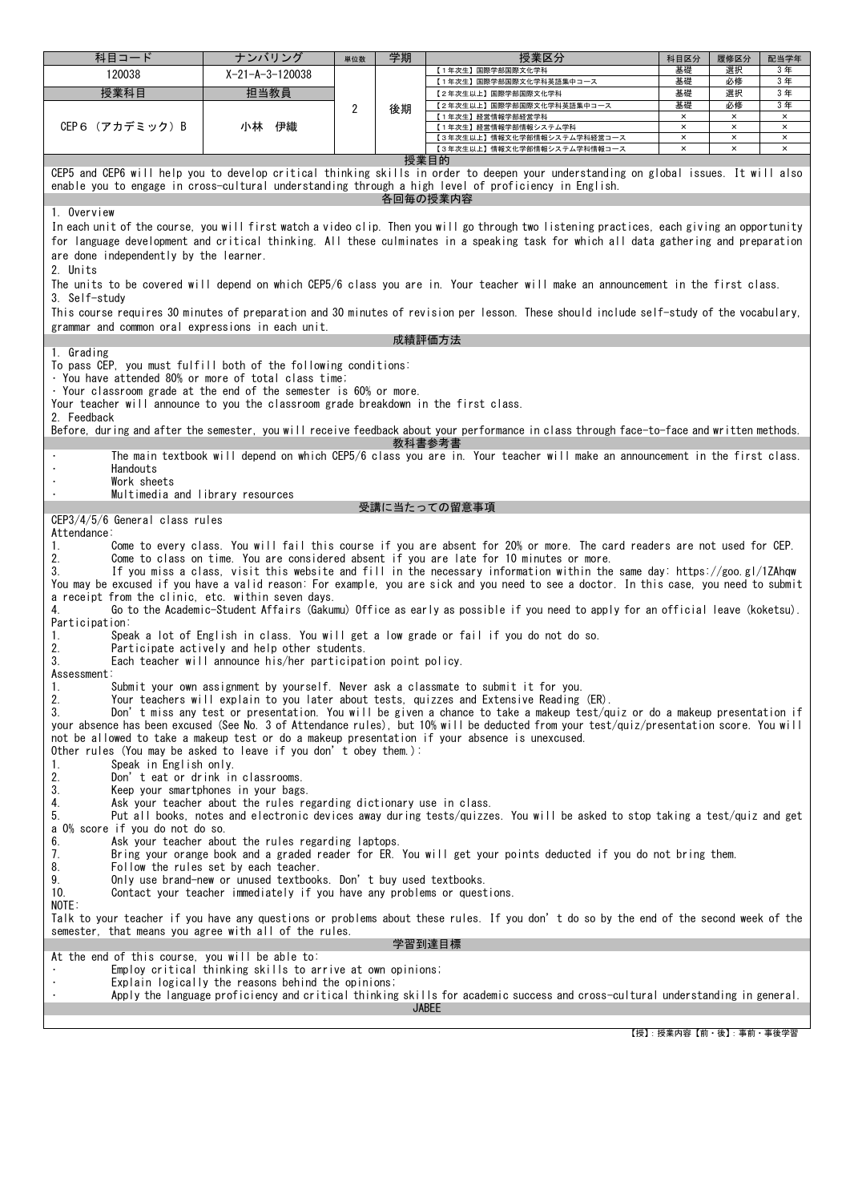| 科目コード                                                                                                                                                                                                                                                                                                                                                                                                                                                                                                                                                                                                                                                                                                                                                                                                                                                                                                                                                                                                                                                                                  | ナンバリング            | 単位数 | 学期 | 授業区分                                                                                                                                       | 科目区分                 | 履修区分                 | 配当学年                 |  |  |
|----------------------------------------------------------------------------------------------------------------------------------------------------------------------------------------------------------------------------------------------------------------------------------------------------------------------------------------------------------------------------------------------------------------------------------------------------------------------------------------------------------------------------------------------------------------------------------------------------------------------------------------------------------------------------------------------------------------------------------------------------------------------------------------------------------------------------------------------------------------------------------------------------------------------------------------------------------------------------------------------------------------------------------------------------------------------------------------|-------------------|-----|----|--------------------------------------------------------------------------------------------------------------------------------------------|----------------------|----------------------|----------------------|--|--|
| 120038                                                                                                                                                                                                                                                                                                                                                                                                                                                                                                                                                                                                                                                                                                                                                                                                                                                                                                                                                                                                                                                                                 | $X-21-A-3-120038$ |     |    | 【1年次生】国際学部国際文化学科                                                                                                                           | 基礎                   | 選択                   | 3年<br>3年             |  |  |
| 授業科目                                                                                                                                                                                                                                                                                                                                                                                                                                                                                                                                                                                                                                                                                                                                                                                                                                                                                                                                                                                                                                                                                   | 担当教員              |     |    | 【1年次生】国際学部国際文化学科英語集中コース<br>【2年次生以上】国際学部国際文化学科                                                                                              | 基礎<br>基礎             | 必修<br>選択             | 3年                   |  |  |
|                                                                                                                                                                                                                                                                                                                                                                                                                                                                                                                                                                                                                                                                                                                                                                                                                                                                                                                                                                                                                                                                                        |                   | 2   | 後期 | 【2年次生以上】国際学部国際文化学科英語集中コース                                                                                                                  | 基礎                   | 必修                   | 3年                   |  |  |
| CEP6(アカデミック)B                                                                                                                                                                                                                                                                                                                                                                                                                                                                                                                                                                                                                                                                                                                                                                                                                                                                                                                                                                                                                                                                          | 小林 伊織             |     |    | 【1年次生】経営情報学部経営学科<br>【1年次生】経営情報学部情報システム学科                                                                                                   | $\times$<br>$\times$ | $\times$<br>$\times$ | $\times$<br>$\times$ |  |  |
|                                                                                                                                                                                                                                                                                                                                                                                                                                                                                                                                                                                                                                                                                                                                                                                                                                                                                                                                                                                                                                                                                        |                   |     |    | 【3年次生以上】情報文化学部情報システム学科経営コース                                                                                                                | $\times$             | $\times$             | $\times$             |  |  |
|                                                                                                                                                                                                                                                                                                                                                                                                                                                                                                                                                                                                                                                                                                                                                                                                                                                                                                                                                                                                                                                                                        |                   |     |    | 【3年次生以上】情報文化学部情報システム学科情報コース                                                                                                                | $\pmb{\times}$       | $\times$             | $\times$             |  |  |
| 授業目的<br>CEP5 and CEP6 will help you to develop critical thinking skills in order to deepen your understanding on global issues. It will also<br>enable you to engage in cross-cultural understanding through a high level of proficiency in English.                                                                                                                                                                                                                                                                                                                                                                                                                                                                                                                                                                                                                                                                                                                                                                                                                                   |                   |     |    |                                                                                                                                            |                      |                      |                      |  |  |
| 各回毎の授業内容                                                                                                                                                                                                                                                                                                                                                                                                                                                                                                                                                                                                                                                                                                                                                                                                                                                                                                                                                                                                                                                                               |                   |     |    |                                                                                                                                            |                      |                      |                      |  |  |
| 1. Overview                                                                                                                                                                                                                                                                                                                                                                                                                                                                                                                                                                                                                                                                                                                                                                                                                                                                                                                                                                                                                                                                            |                   |     |    |                                                                                                                                            |                      |                      |                      |  |  |
| In each unit of the course, you will first watch a video clip. Then you will go through two listening practices, each giving an opportunity<br>for language development and critical thinking. All these culminates in a speaking task for which all data gathering and preparation<br>are done independently by the learner.<br>2. Units                                                                                                                                                                                                                                                                                                                                                                                                                                                                                                                                                                                                                                                                                                                                              |                   |     |    |                                                                                                                                            |                      |                      |                      |  |  |
| The units to be covered will depend on which CEP5/6 class you are in. Your teacher will make an announcement in the first class.<br>3. Self-studv                                                                                                                                                                                                                                                                                                                                                                                                                                                                                                                                                                                                                                                                                                                                                                                                                                                                                                                                      |                   |     |    |                                                                                                                                            |                      |                      |                      |  |  |
| This course requires 30 minutes of preparation and 30 minutes of revision per lesson. These should include self-study of the vocabulary,<br>grammar and common oral expressions in each unit.<br>成績評価方法                                                                                                                                                                                                                                                                                                                                                                                                                                                                                                                                                                                                                                                                                                                                                                                                                                                                                |                   |     |    |                                                                                                                                            |                      |                      |                      |  |  |
| 1. Grading                                                                                                                                                                                                                                                                                                                                                                                                                                                                                                                                                                                                                                                                                                                                                                                                                                                                                                                                                                                                                                                                             |                   |     |    |                                                                                                                                            |                      |                      |                      |  |  |
| To pass CEP, you must fulfill both of the following conditions:<br>· You have attended 80% or more of total class time;<br>. Your classroom grade at the end of the semester is 60% or more.<br>Your teacher will announce to you the classroom grade breakdown in the first class.<br>2. Feedback                                                                                                                                                                                                                                                                                                                                                                                                                                                                                                                                                                                                                                                                                                                                                                                     |                   |     |    |                                                                                                                                            |                      |                      |                      |  |  |
|                                                                                                                                                                                                                                                                                                                                                                                                                                                                                                                                                                                                                                                                                                                                                                                                                                                                                                                                                                                                                                                                                        |                   |     |    | Before, during and after the semester, you will receive feedback about your performance in class through face-to-face and written methods. |                      |                      |                      |  |  |
| 教科書参考書<br>The main textbook will depend on which CEP5/6 class you are in. Your teacher will make an announcement in the first class.<br>Handouts                                                                                                                                                                                                                                                                                                                                                                                                                                                                                                                                                                                                                                                                                                                                                                                                                                                                                                                                       |                   |     |    |                                                                                                                                            |                      |                      |                      |  |  |
| Work sheets                                                                                                                                                                                                                                                                                                                                                                                                                                                                                                                                                                                                                                                                                                                                                                                                                                                                                                                                                                                                                                                                            |                   |     |    |                                                                                                                                            |                      |                      |                      |  |  |
| Multimedia and library resources                                                                                                                                                                                                                                                                                                                                                                                                                                                                                                                                                                                                                                                                                                                                                                                                                                                                                                                                                                                                                                                       |                   |     |    | 受講に当たっての留意事項                                                                                                                               |                      |                      |                      |  |  |
| CEP3/4/5/6 General class rules                                                                                                                                                                                                                                                                                                                                                                                                                                                                                                                                                                                                                                                                                                                                                                                                                                                                                                                                                                                                                                                         |                   |     |    |                                                                                                                                            |                      |                      |                      |  |  |
| Attendance:<br>Come to every class. You will fail this course if you are absent for 20% or more. The card readers are not used for CEP.<br>1.<br>2.<br>Come to class on time. You are considered absent if you are late for 10 minutes or more.<br>3.<br>If you miss a class, visit this website and fill in the necessary information within the same day: https://goo.gl/1ZAhqw<br>You may be excused if you have a valid reason: For example, you are sick and you need to see a doctor. In this case, you need to submit<br>a receipt from the clinic, etc. within seven days.<br>Go to the Academic-Student Affairs (Gakumu) Office as early as possible if you need to apply for an official leave (koketsu).<br>4.<br>Participation:<br>Speak a lot of English in class. You will get a low grade or fail if you do not do so.<br>1.<br>2.<br>Participate actively and help other students.<br>3.<br>Each teacher will announce his/her participation point policy.<br>Assessment:<br>Submit your own assignment by yourself. Never ask a classmate to submit it for you.<br>1. |                   |     |    |                                                                                                                                            |                      |                      |                      |  |  |
| 2.<br>Your teachers will explain to you later about tests, quizzes and Extensive Reading (ER).<br>3.<br>Don't miss any test or presentation. You will be given a chance to take a makeup test/quiz or do a makeup presentation if<br>your absence has been excused (See No. 3 of Attendance rules), but 10% will be deducted from your test/quiz/presentation score. You will<br>not be allowed to take a makeup test or do a makeup presentation if your absence is unexcused.<br>Other rules (You may be asked to leave if you don't obey them.):<br>1.<br>Speak in English only.<br>2.<br>Don't eat or drink in classrooms.                                                                                                                                                                                                                                                                                                                                                                                                                                                         |                   |     |    |                                                                                                                                            |                      |                      |                      |  |  |
| 3.<br>Keep your smartphones in your bags.<br>Ask your teacher about the rules regarding dictionary use in class.<br>4.<br>5.<br>Put all books, notes and electronic devices away during tests/quizzes. You will be asked to stop taking a test/quiz and get<br>a 0% score if you do not do so.<br>6.                                                                                                                                                                                                                                                                                                                                                                                                                                                                                                                                                                                                                                                                                                                                                                                   |                   |     |    |                                                                                                                                            |                      |                      |                      |  |  |
| Ask your teacher about the rules regarding laptops.<br>7.<br>Bring your orange book and a graded reader for ER. You will get your points deducted if you do not bring them.<br>8.<br>Follow the rules set by each teacher.<br>9.<br>Only use brand-new or unused textbooks. Don't buy used textbooks.<br>Contact your teacher immediately if you have any problems or questions.<br>10.                                                                                                                                                                                                                                                                                                                                                                                                                                                                                                                                                                                                                                                                                                |                   |     |    |                                                                                                                                            |                      |                      |                      |  |  |
| NOTE:<br>Talk to your teacher if you have any questions or problems about these rules. If you don't do so by the end of the second week of the<br>semester, that means you agree with all of the rules.                                                                                                                                                                                                                                                                                                                                                                                                                                                                                                                                                                                                                                                                                                                                                                                                                                                                                |                   |     |    |                                                                                                                                            |                      |                      |                      |  |  |
| 学習到達目標<br>At the end of this course, you will be able to:                                                                                                                                                                                                                                                                                                                                                                                                                                                                                                                                                                                                                                                                                                                                                                                                                                                                                                                                                                                                                              |                   |     |    |                                                                                                                                            |                      |                      |                      |  |  |
| Employ critical thinking skills to arrive at own opinions;                                                                                                                                                                                                                                                                                                                                                                                                                                                                                                                                                                                                                                                                                                                                                                                                                                                                                                                                                                                                                             |                   |     |    |                                                                                                                                            |                      |                      |                      |  |  |
| Explain logically the reasons behind the opinions;<br>Apply the language proficiency and critical thinking skills for academic success and cross-cultural understanding in general.<br><b>JABEE</b>                                                                                                                                                                                                                                                                                                                                                                                                                                                                                                                                                                                                                                                                                                                                                                                                                                                                                    |                   |     |    |                                                                                                                                            |                      |                      |                      |  |  |
|                                                                                                                                                                                                                                                                                                                                                                                                                                                                                                                                                                                                                                                                                                                                                                                                                                                                                                                                                                                                                                                                                        |                   |     |    |                                                                                                                                            |                      |                      |                      |  |  |

【授】:授業内容【前・後】:事前・事後学習